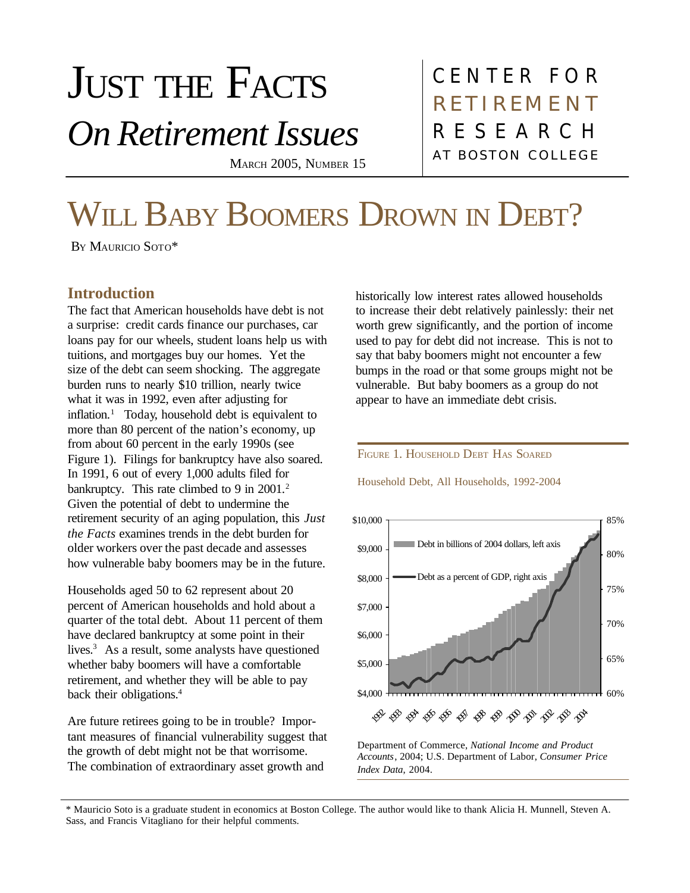# JUST THE FACTS *On Retirement Issues* MARCH 2005, NUMBER 15

CENTER FOR AT BOSTON COLLEGE RESEARCH **RETIREMENT** 

# WILL BABY BOOMERS DROWN IN DEBT?

BY MAURICIO SOTO\*

## **Introduction**

The fact that American households have debt is not a surprise: credit cards finance our purchases, car loans pay for our wheels, student loans help us with tuitions, and mortgages buy our homes. Yet the size of the debt can seem shocking. The aggregate burden runs to nearly \$10 trillion, nearly twice what it was in 1992, even after adjusting for inflation.<sup>1</sup> Today, household debt is equivalent to more than 80 percent of the nation's economy, up from about 60 percent in the early 1990s (see Figure 1). Filings for bankruptcy have also soared. In 1991, 6 out of every 1,000 adults filed for bankruptcy. This rate climbed to 9 in 2001.<sup>2</sup> Given the potential of debt to undermine the retirement security of an aging population, this *Just the Facts* examines trends in the debt burden for older workers over the past decade and assesses how vulnerable baby boomers may be in the future.

Households aged 50 to 62 represent about 20 percent of American households and hold about a quarter of the total debt. About 11 percent of them have declared bankruptcy at some point in their lives.<sup>3</sup> As a result, some analysts have questioned whether baby boomers will have a comfortable retirement, and whether they will be able to pay back their obligations.<sup>4</sup>

Are future retirees going to be in trouble? Important measures of financial vulnerability suggest that the growth of debt might not be that worrisome. The combination of extraordinary asset growth and

historically low interest rates allowed households to increase their debt relatively painlessly: their net worth grew significantly, and the portion of income used to pay for debt did not increase. This is not to say that baby boomers might not encounter a few bumps in the road or that some groups might not be vulnerable. But baby boomers as a group do not appear to have an immediate debt crisis.

#### FIGURE 1. HOUSEHOLD DEBT HAS SOARED

Household Debt, All Households, 1992-2004



Department of Commerce, *National Income and Product Accounts*, 2004; U.S. Department of Labor, *Consumer Price Index Data*, 2004.

\* Mauricio Soto is a graduate student in economics at Boston College. The author would like to thank Alicia H. Munnell, Steven A. Sass, and Francis Vitagliano for their helpful comments.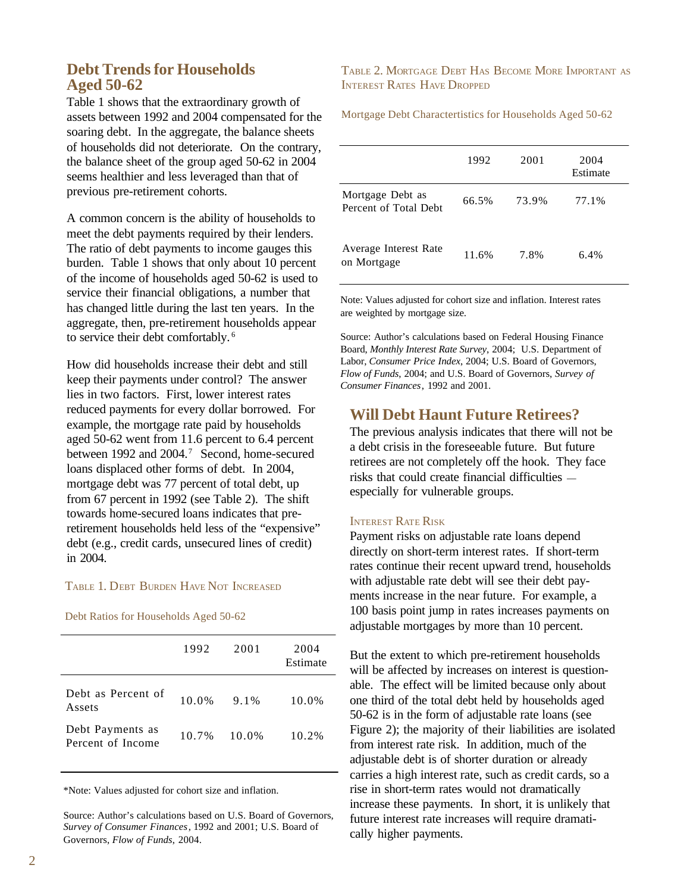### **Debt Trends for Households Aged 50-62**

Table 1 shows that the extraordinary growth of assets between 1992 and 2004 compensated for the soaring debt. In the aggregate, the balance sheets of households did not deteriorate. On the contrary, the balance sheet of the group aged 50-62 in 2004 seems healthier and less leveraged than that of previous pre-retirement cohorts.

A common concern is the ability of households to meet the debt payments required by their lenders. The ratio of debt payments to income gauges this burden. Table 1 shows that only about 10 percent of the income of households aged 50-62 is used to service their financial obligations, a number that has changed little during the last ten years. In the aggregate, then, pre-retirement households appear to service their debt comfortably. <sup>6</sup>

How did households increase their debt and still keep their payments under control? The answer lies in two factors. First, lower interest rates reduced payments for every dollar borrowed. For example, the mortgage rate paid by households aged 50-62 went from 11.6 percent to 6.4 percent between 1992 and 2004.<sup>7</sup> Second, home-secured loans displaced other forms of debt. In 2004, mortgage debt was 77 percent of total debt, up from 67 percent in 1992 (see Table 2). The shift towards home-secured loans indicates that preretirement households held less of the "expensive" debt (e.g., credit cards, unsecured lines of credit) in 2004.

#### TABLE 1. DEBT BURDEN HAVE NOT INCREASED

Debt Ratios for Households Aged 50-62

| 1992  | 2001  | 2004<br>Estimate |
|-------|-------|------------------|
| 10.0% | 9.1%  | 10.0%            |
| 10.7% | 10.0% | 10.2%            |
|       |       |                  |

\*Note: Values adjusted for cohort size and inflation.

Source: Author's calculations based on U.S. Board of Governors, *Survey of Consumer Finances*, 1992 and 2001; U.S. Board of Governors, *Flow of Funds*, 2004.

TABLE 2. MORTGAGE DEBT HAS BECOME MORE IMPORTANT AS INTEREST RATES HAVE DROPPED

Mortgage Debt Charactertistics for Households Aged 50-62

|                                           | 1992  | 2001  | 2004<br>Estimate |
|-------------------------------------------|-------|-------|------------------|
| Mortgage Debt as<br>Percent of Total Debt | 66.5% | 73.9% | 77.1%            |
| Average Interest Rate<br>on Mortgage      | 11.6% | 7.8%  | $6.4\%$          |

Note: Values adjusted for cohort size and inflation. Interest rates are weighted by mortgage size.

Source: Author's calculations based on Federal Housing Finance Board, *Monthly Interest Rate Survey*, 2004; U.S. Department of Labor, *Consumer Price Index*, 2004; U.S. Board of Governors, *Flow of Funds*, 2004; and U.S. Board of Governors, *Survey of Consumer Finances*, 1992 and 2001.

#### **Will Debt Haunt Future Retirees?**

The previous analysis indicates that there will not be a debt crisis in the foreseeable future. But future retirees are not completely off the hook. They face risks that could create financial difficulties especially for vulnerable groups.

#### INTEREST RATE RISK

Payment risks on adjustable rate loans depend directly on short-term interest rates. If short-term rates continue their recent upward trend, households with adjustable rate debt will see their debt payments increase in the near future. For example, a 100 basis point jump in rates increases payments on adjustable mortgages by more than 10 percent.

But the extent to which pre-retirement households will be affected by increases on interest is questionable. The effect will be limited because only about one third of the total debt held by households aged 50-62 is in the form of adjustable rate loans (see Figure 2); the majority of their liabilities are isolated from interest rate risk. In addition, much of the adjustable debt is of shorter duration or already carries a high interest rate, such as credit cards, so a rise in short-term rates would not dramatically increase these payments. In short, it is unlikely that future interest rate increases will require dramatically higher payments.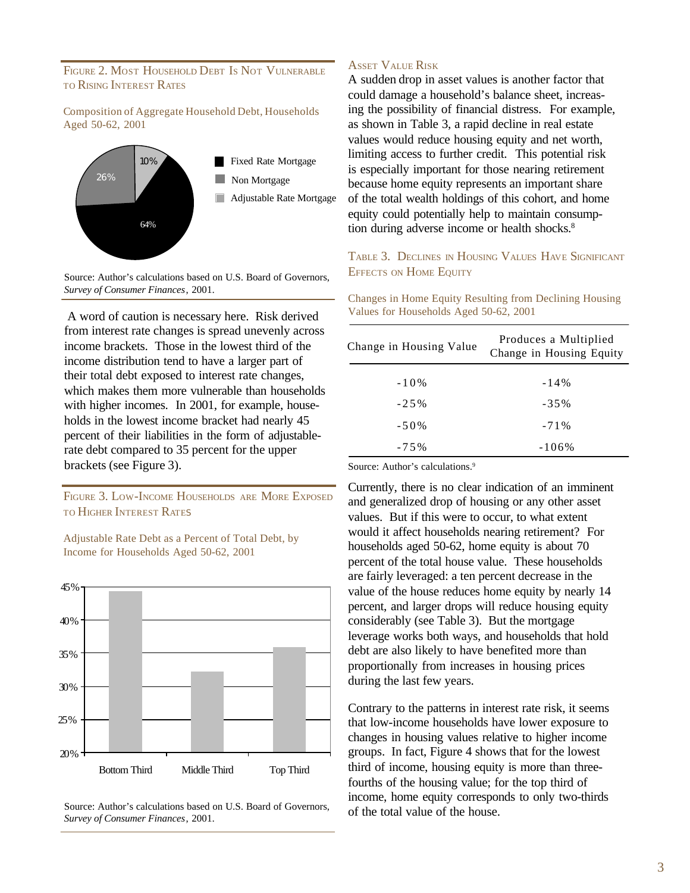#### FIGURE 2. MOST HOUSEHOLD DEBT IS NOT VULNERABLE TO RISING INTEREST RATES

#### Composition of Aggregate Household Debt, Households Aged 50-62, 2001



Source: Author's calculations based on U.S. Board of Governors, *Survey of Consumer Finances*, 2001.

 A word of caution is necessary here. Risk derived from interest rate changes is spread unevenly across income brackets. Those in the lowest third of the income distribution tend to have a larger part of their total debt exposed to interest rate changes, which makes them more vulnerable than households with higher incomes. In 2001, for example, households in the lowest income bracket had nearly 45 percent of their liabilities in the form of adjustablerate debt compared to 35 percent for the upper brackets (see Figure 3).

FIGURE 3. LOW-INCOME HOUSEHOLDS ARE MORE EXPOSED TO HIGHER INTEREST RATE<sup>S</sup>



Adjustable Rate Debt as a Percent of Total Debt, by Income for Households Aged 50-62, 2001

Source: Author's calculations based on U.S. Board of Governors, *Survey of Consumer Finances*, 2001.

#### ASSET VALUE RISK

A sudden drop in asset values is another factor that could damage a household's balance sheet, increasing the possibility of financial distress. For example, as shown in Table 3, a rapid decline in real estate values would reduce housing equity and net worth. limiting access to further credit. This potential risk is especially important for those nearing retirement because home equity represents an important share of the total wealth holdings of this cohort, and home equity could potentially help to maintain consumption during adverse income or health shocks.<sup>8</sup>

TABLE 3. DECLINES IN HOUSING VALUES HAVE SIGNIFICANT EFFECTS ON HOME EQUITY

Changes in Home Equity Resulting from Declining Housing Values for Households Aged 50-62, 2001

| Change in Housing Value | Produces a Multiplied<br>Change in Housing Equity |
|-------------------------|---------------------------------------------------|
| $-10%$                  | $-14\%$                                           |
| $-2.5\%$                | $-35%$                                            |
| $-50\%$                 | $-71\%$                                           |
| $-75%$                  | $-106\%$                                          |

Source: Author's calculations.<sup>9</sup>

Currently, there is no clear indication of an imminent and generalized drop of housing or any other asset values. But if this were to occur, to what extent would it affect households nearing retirement? For households aged 50-62, home equity is about 70 percent of the total house value. These households are fairly leveraged: a ten percent decrease in the value of the house reduces home equity by nearly 14 percent, and larger drops will reduce housing equity considerably (see Table 3). But the mortgage leverage works both ways, and households that hold debt are also likely to have benefited more than proportionally from increases in housing prices during the last few years.

Contrary to the patterns in interest rate risk, it seems that low-income households have lower exposure to changes in housing values relative to higher income groups. In fact, Figure 4 shows that for the lowest third of income, housing equity is more than threefourths of the housing value; for the top third of income, home equity corresponds to only two-thirds of the total value of the house.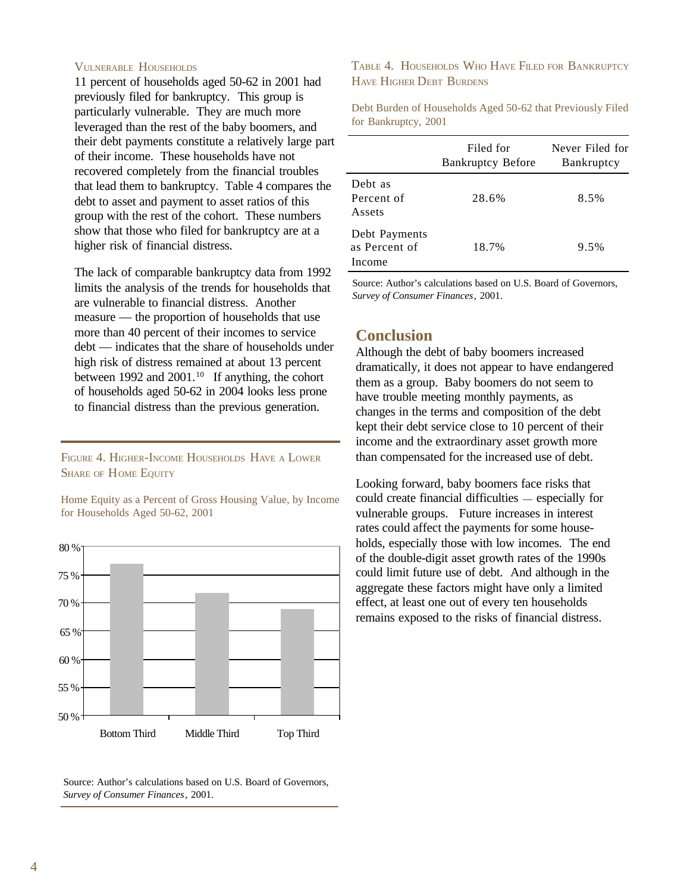#### VULNERABLE HOUSEHOLDS

11 percent of households aged 50-62 in 2001 had previously filed for bankruptcy. This group is particularly vulnerable. They are much more leveraged than the rest of the baby boomers, and their debt payments constitute a relatively large part of their income. These households have not recovered completely from the financial troubles that lead them to bankruptcy. Table 4 compares the debt to asset and payment to asset ratios of this group with the rest of the cohort. These numbers show that those who filed for bankruptcy are at a higher risk of financial distress.

The lack of comparable bankruptcy data from 1992 limits the analysis of the trends for households that are vulnerable to financial distress. Another measure — the proportion of households that use more than 40 percent of their incomes to service debt — indicates that the share of households under high risk of distress remained at about 13 percent between 1992 and 2001.<sup>10</sup> If anything, the cohort of households aged 50-62 in 2004 looks less prone to financial distress than the previous generation.

FIGURE 4. HIGHER-INCOME HOUSEHOLDS HAVE <sup>A</sup> LOWER SHARE OF HOME EQUITY

Home Equity as a Percent of Gross Housing Value, by Income for Households Aged 50-62, 2001



Source: Author's calculations based on U.S. Board of Governors, *Survey of Consumer Finances*, 2001.

TABLE 4. HOUSEHOLDS WHO HAVE FILED FOR BANKRUPTCY HAVE HIGHER DEBT BURDENS

Debt Burden of Households Aged 50-62 that Previously Filed for Bankruptcy, 2001

|                                          | Filed for<br><b>Bankruptcy Before</b> | Never Filed for<br>Bankruptcy |
|------------------------------------------|---------------------------------------|-------------------------------|
| Debt as<br>Percent of<br>Assets          | 28.6%                                 | 8.5%                          |
| Debt Payments<br>as Percent of<br>Income | 18.7%                                 | 9.5%                          |

Source: Author's calculations based on U.S. Board of Governors, *Survey of Consumer Finances*, 2001.

#### **Conclusion**

Although the debt of baby boomers increased dramatically, it does not appear to have endangered them as a group. Baby boomers do not seem to have trouble meeting monthly payments, as changes in the terms and composition of the debt kept their debt service close to 10 percent of their income and the extraordinary asset growth more than compensated for the increased use of debt.

Looking forward, baby boomers face risks that could create financial difficulties — especially for vulnerable groups. Future increases in interest rates could affect the payments for some households, especially those with low incomes. The end of the double-digit asset growth rates of the 1990s could limit future use of debt. And although in the aggregate these factors might have only a limited effect, at least one out of every ten households remains exposed to the risks of financial distress.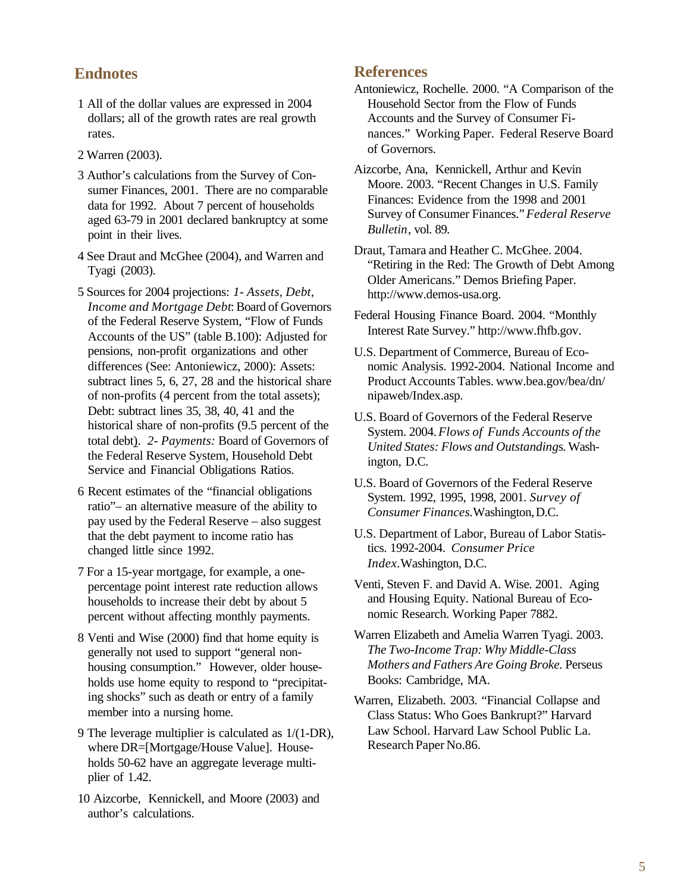# **Endnotes**

- 1 All of the dollar values are expressed in 2004 dollars; all of the growth rates are real growth rates.
- 2 Warren (2003).
- 3 Author's calculations from the Survey of Consumer Finances, 2001. There are no comparable data for 1992. About 7 percent of households aged 63-79 in 2001 declared bankruptcy at some point in their lives.
- 4 See Draut and McGhee (2004), and Warren and Tyagi (2003).
- 5 Sources for 2004 projections: *1- Assets, Debt, Income and Mortgage Debt*: Board of Governors of the Federal Reserve System, "Flow of Funds Accounts of the US" (table B.100): Adjusted for pensions, non-profit organizations and other differences (See: Antoniewicz, 2000): Assets: subtract lines 5, 6, 27, 28 and the historical share of non-profits (4 percent from the total assets); Debt: subtract lines 35, 38, 40, 41 and the historical share of non-profits (9.5 percent of the total debt). *2- Payments:* Board of Governors of the Federal Reserve System, Household Debt Service and Financial Obligations Ratios.
- 6 Recent estimates of the "financial obligations ratio"– an alternative measure of the ability to pay used by the Federal Reserve – also suggest that the debt payment to income ratio has changed little since 1992.
- 7 For a 15-year mortgage, for example, a onepercentage point interest rate reduction allows households to increase their debt by about 5 percent without affecting monthly payments.
- 8 Venti and Wise (2000) find that home equity is generally not used to support "general nonhousing consumption." However, older households use home equity to respond to "precipitating shocks" such as death or entry of a family member into a nursing home.
- 9 The leverage multiplier is calculated as 1/(1-DR), where DR=[Mortgage/House Value]. Households 50-62 have an aggregate leverage multiplier of 1.42.
- 10 Aizcorbe, Kennickell, and Moore (2003) and author's calculations.

### **References**

- Antoniewicz, Rochelle. 2000. "A Comparison of the Household Sector from the Flow of Funds Accounts and the Survey of Consumer Finances." Working Paper. Federal Reserve Board of Governors.
- Aizcorbe, Ana, Kennickell, Arthur and Kevin Moore. 2003. "Recent Changes in U.S. Family Finances: Evidence from the 1998 and 2001 Survey of Consumer Finances." *Federal Reserve Bulletin*, vol. 89.
- Draut, Tamara and Heather C. McGhee. 2004. "Retiring in the Red: The Growth of Debt Among Older Americans." Demos Briefing Paper. http://www.demos-usa.org.
- Federal Housing Finance Board. 2004. "Monthly Interest Rate Survey." http://www.fhfb.gov.
- U.S. Department of Commerce, Bureau of Economic Analysis. 1992-2004. National Income and Product Accounts Tables. www.bea.gov/bea/dn/ nipaweb/Index.asp.
- U.S. Board of Governors of the Federal Reserve System. 2004. *Flows of Funds Accounts of the United States: Flows and Outstanding*s. Washington, D.C.
- U.S. Board of Governors of the Federal Reserve System. 1992, 1995, 1998, 2001. *Survey of Consumer Finances.*Washington, D.C.
- U.S. Department of Labor, Bureau of Labor Statistics. 1992-2004. *Consumer Price Index.*Washington, D.C.
- Venti, Steven F. and David A. Wise. 2001. Aging and Housing Equity. National Bureau of Economic Research. Working Paper 7882.
- Warren Elizabeth and Amelia Warren Tyagi. 2003. *The Two-Income Trap: Why Middle-Class Mothers and Fathers Are Going Broke.* Perseus Books: Cambridge, MA.
- Warren, Elizabeth. 2003. "Financial Collapse and Class Status: Who Goes Bankrupt?" Harvard Law School. Harvard Law School Public La. Research Paper No.86.